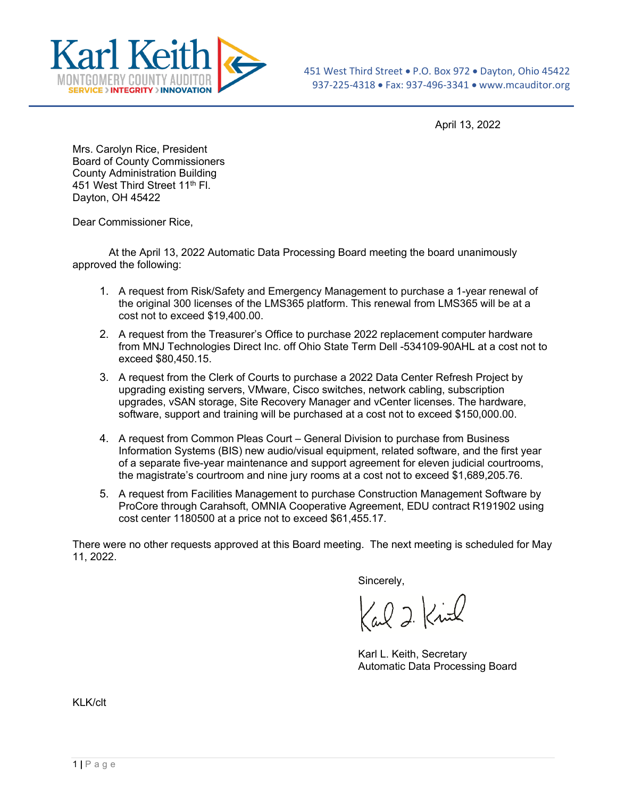

April 13, 2022

Mrs. Carolyn Rice, President Board of County Commissioners County Administration Building 451 West Third Street 11<sup>th</sup> Fl. Dayton, OH 45422

Dear Commissioner Rice,

At the April 13, 2022 Automatic Data Processing Board meeting the board unanimously approved the following:

- 1. A request from Risk/Safety and Emergency Management to purchase a 1-year renewal of the original 300 licenses of the LMS365 platform. This renewal from LMS365 will be at a cost not to exceed \$19,400.00.
- 2. A request from the Treasurer's Office to purchase 2022 replacement computer hardware from MNJ Technologies Direct Inc. off Ohio State Term Dell -534109-90AHL at a cost not to exceed \$80,450.15.
- 3. A request from the Clerk of Courts to purchase a 2022 Data Center Refresh Project by upgrading existing servers, VMware, Cisco switches, network cabling, subscription upgrades, vSAN storage, Site Recovery Manager and vCenter licenses. The hardware, software, support and training will be purchased at a cost not to exceed \$150,000.00.
- 4. A request from Common Pleas Court General Division to purchase from Business Information Systems (BIS) new audio/visual equipment, related software, and the first year of a separate five-year maintenance and support agreement for eleven judicial courtrooms, the magistrate's courtroom and nine jury rooms at a cost not to exceed \$1,689,205.76.
- 5. A request from Facilities Management to purchase Construction Management Software by ProCore through Carahsoft, OMNIA Cooperative Agreement, EDU contract R191902 using cost center 1180500 at a price not to exceed \$61,455.17.

There were no other requests approved at this Board meeting. The next meeting is scheduled for May 11, 2022.

Sincerely,

Carl 2 Kind

Karl L. Keith, Secretary Automatic Data Processing Board

KLK/clt